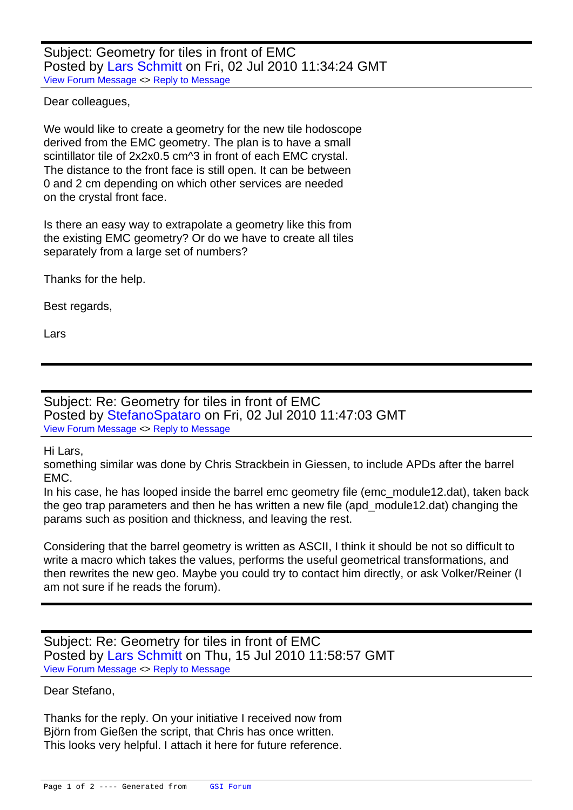Subject: Geometry for tiles in front of EMC Posted by Lars Schmitt on Fri, 02 Jul 2010 11:34:24 GMT View Forum Message <> Reply to Message

Dear colleagues,

[We would like to c](https://forum.gsi.de/index.php?t=rview&th=2877&goto=10845#msg_10845)re[ate a geometry f](https://forum.gsi.de/index.php?t=post&reply_to=10845)or the new tile hodoscope derived from the EMC geometry. The plan is to have a small scintillator tile of 2x2x0.5 cm^3 in front of each EMC crystal. The distance to the front face is still open. It can be between 0 and 2 cm depending on which other services are needed on the crystal front face.

Is there an easy way to extrapolate a geometry like this from the existing EMC geometry? Or do we have to create all tiles separately from a large set of numbers?

Thanks for the help.

Best regards,

Lars

Subject: Re: Geometry for tiles in front of EMC Posted by StefanoSpataro on Fri, 02 Jul 2010 11:47:03 GMT View Forum Message <> Reply to Message

Hi Lars,

something s[imilar was done by](https://forum.gsi.de/index.php?t=usrinfo&id=306) Chris Strackbein in Giessen, to include APDs after the barrel [EMC.](https://forum.gsi.de/index.php?t=rview&th=2877&goto=10846#msg_10846)

In his case, he has looped inside the barrel emc geometry file (emc\_module12.dat), taken back the geo trap parameters and then he has written a new file (apd\_module12.dat) changing the params such as position and thickness, and leaving the rest.

Considering that the barrel geometry is written as ASCII, I think it should be not so difficult to write a macro which takes the values, performs the useful geometrical transformations, and then rewrites the new geo. Maybe you could try to contact him directly, or ask Volker/Reiner (I am not sure if he reads the forum).

Subject: Re: Geometry for tiles in front of EMC Posted by Lars Schmitt on Thu, 15 Jul 2010 11:58:57 GMT View Forum Message <> Reply to Message

Dear Stefano,

[Thanks for the rep](https://forum.gsi.de/index.php?t=rview&th=2877&goto=10869#msg_10869)ly. [On your initiativ](https://forum.gsi.de/index.php?t=post&reply_to=10869)e I received now from Björn from Gießen the script, that Chris has once written. This looks very helpful. I attach it here for future reference.